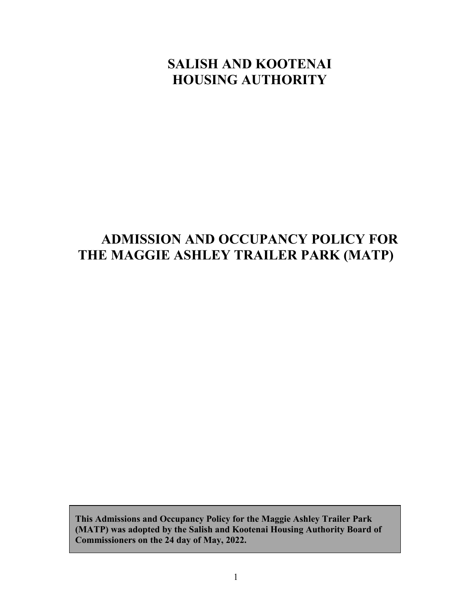# **SALISH AND KOOTENAI HOUSING AUTHORITY**

# **ADMISSION AND OCCUPANCY POLICY FOR THE MAGGIE ASHLEY TRAILER PARK (MATP)**

**This Admissions and Occupancy Policy for the Maggie Ashley Trailer Park (MATP) was adopted by the Salish and Kootenai Housing Authority Board of Commissioners on the 24 day of May, 2022.**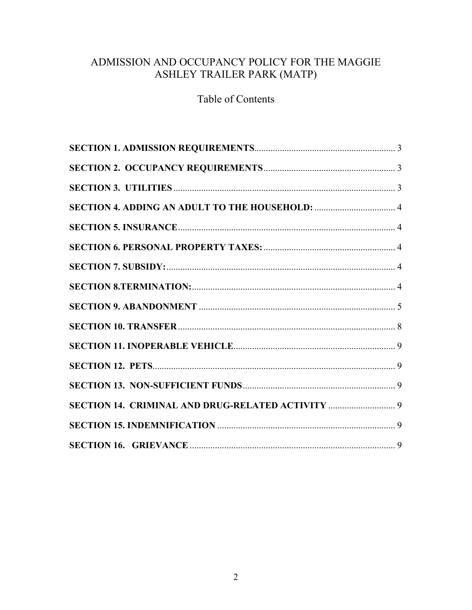# ADMISSION AND OCCUPANCY POLICY FOR THE MAGGIE ASHLEY TRAILER PARK (MATP)

Table of Contents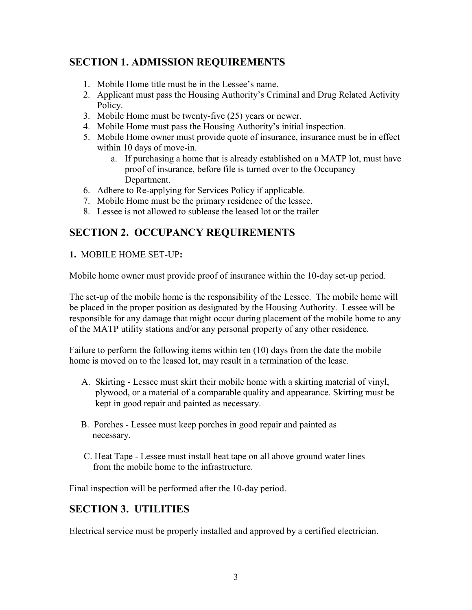## <span id="page-2-0"></span>**SECTION 1. ADMISSION REQUIREMENTS**

- 1. Mobile Home title must be in the Lessee's name.
- 2. Applicant must pass the Housing Authority's Criminal and Drug Related Activity Policy.
- 3. Mobile Home must be twenty-five (25) years or newer.
- 4. Mobile Home must pass the Housing Authority's initial inspection.
- 5. Mobile Home owner must provide quote of insurance, insurance must be in effect within 10 days of move-in.
	- a. If purchasing a home that is already established on a MATP lot, must have proof of insurance, before file is turned over to the Occupancy Department.
- 6. Adhere to Re-applying for Services Policy if applicable.
- 7. Mobile Home must be the primary residence of the lessee.
- 8. Lessee is not allowed to sublease the leased lot or the trailer

## <span id="page-2-1"></span>**SECTION 2. OCCUPANCY REQUIREMENTS**

#### **1.** MOBILE HOME SET-UP**:**

Mobile home owner must provide proof of insurance within the 10-day set-up period.

The set-up of the mobile home is the responsibility of the Lessee. The mobile home will be placed in the proper position as designated by the Housing Authority. Lessee will be responsible for any damage that might occur during placement of the mobile home to any of the MATP utility stations and/or any personal property of any other residence.

Failure to perform the following items within ten (10) days from the date the mobile home is moved on to the leased lot, may result in a termination of the lease.

- A. Skirting Lessee must skirt their mobile home with a skirting material of vinyl, plywood, or a material of a comparable quality and appearance. Skirting must be kept in good repair and painted as necessary.
- B. Porches Lessee must keep porches in good repair and painted as necessary.
- C. Heat Tape Lessee must install heat tape on all above ground water lines from the mobile home to the infrastructure.

<span id="page-2-2"></span>Final inspection will be performed after the 10-day period.

## **SECTION 3. UTILITIES**

Electrical service must be properly installed and approved by a certified electrician.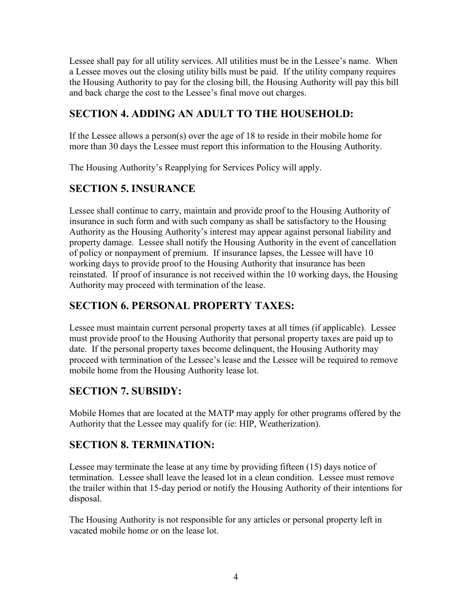Lessee shall pay for all utility services. All utilities must be in the Lessee's name. When a Lessee moves out the closing utility bills must be paid. If the utility company requires the Housing Authority to pay for the closing bill, the Housing Authority will pay this bill and back charge the cost to the Lessee's final move out charges.

## <span id="page-3-0"></span>**SECTION 4. ADDING AN ADULT TO THE HOUSEHOLD:**

If the Lessee allows a person(s) over the age of 18 to reside in their mobile home for more than 30 days the Lessee must report this information to the Housing Authority.

<span id="page-3-1"></span>The Housing Authority's Reapplying for Services Policy will apply.

## **SECTION 5. INSURANCE**

Lessee shall continue to carry, maintain and provide proof to the Housing Authority of insurance in such form and with such company as shall be satisfactory to the Housing Authority as the Housing Authority's interest may appear against personal liability and property damage. Lessee shall notify the Housing Authority in the event of cancellation of policy or nonpayment of premium. If insurance lapses, the Lessee will have 10 working days to provide proof to the Housing Authority that insurance has been reinstated. If proof of insurance is not received within the 10 working days, the Housing Authority may proceed with termination of the lease.

## <span id="page-3-2"></span>**SECTION 6. PERSONAL PROPERTY TAXES:**

Lessee must maintain current personal property taxes at all times (if applicable). Lessee must provide proof to the Housing Authority that personal property taxes are paid up to date. If the personal property taxes become delinquent, the Housing Authority may proceed with termination of the Lessee's lease and the Lessee will be required to remove mobile home from the Housing Authority lease lot.

# <span id="page-3-3"></span>**SECTION 7. SUBSIDY:**

Mobile Homes that are located at the MATP may apply for other programs offered by the Authority that the Lessee may qualify for (ie: HIP, Weatherization).

## <span id="page-3-4"></span>**SECTION 8. TERMINATION:**

Lessee may terminate the lease at any time by providing fifteen (15) days notice of termination. Lessee shall leave the leased lot in a clean condition. Lessee must remove the trailer within that 15-day period or notify the Housing Authority of their intentions for disposal.

The Housing Authority is not responsible for any articles or personal property left in vacated mobile home or on the lease lot.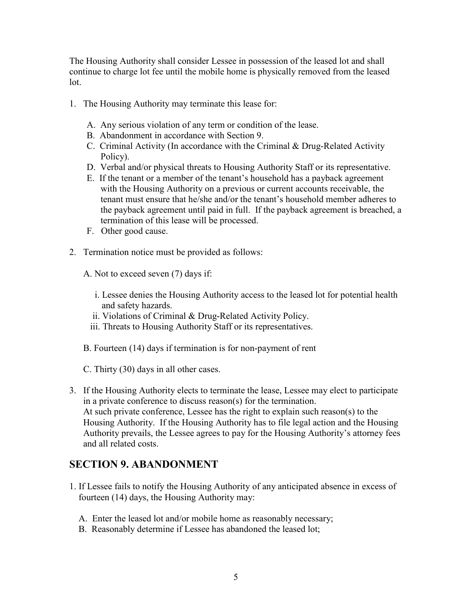The Housing Authority shall consider Lessee in possession of the leased lot and shall continue to charge lot fee until the mobile home is physically removed from the leased lot.

- 1. The Housing Authority may terminate this lease for:
	- A. Any serious violation of any term or condition of the lease.
	- B. Abandonment in accordance with Section 9.
	- C. Criminal Activity (In accordance with the Criminal & Drug-Related Activity Policy).
	- D. Verbal and/or physical threats to Housing Authority Staff or its representative.
	- E. If the tenant or a member of the tenant's household has a payback agreement with the Housing Authority on a previous or current accounts receivable, the tenant must ensure that he/she and/or the tenant's household member adheres to the payback agreement until paid in full. If the payback agreement is breached, a termination of this lease will be processed.
	- F. Other good cause.
- 2. Termination notice must be provided as follows:
	- A. Not to exceed seven (7) days if:
		- i. Lessee denies the Housing Authority access to the leased lot for potential health and safety hazards.
		- ii. Violations of Criminal & Drug-Related Activity Policy.
		- iii. Threats to Housing Authority Staff or its representatives.
	- B. Fourteen (14) days if termination is for non-payment of rent

C. Thirty (30) days in all other cases.

3. If the Housing Authority elects to terminate the lease, Lessee may elect to participate in a private conference to discuss reason(s) for the termination. At such private conference, Lessee has the right to explain such reason(s) to the Housing Authority. If the Housing Authority has to file legal action and the Housing Authority prevails, the Lessee agrees to pay for the Housing Authority's attorney fees and all related costs.

## <span id="page-4-0"></span>**SECTION 9. ABANDONMENT**

- 1. If Lessee fails to notify the Housing Authority of any anticipated absence in excess of fourteen (14) days, the Housing Authority may:
	- A. Enter the leased lot and/or mobile home as reasonably necessary;
	- B. Reasonably determine if Lessee has abandoned the leased lot;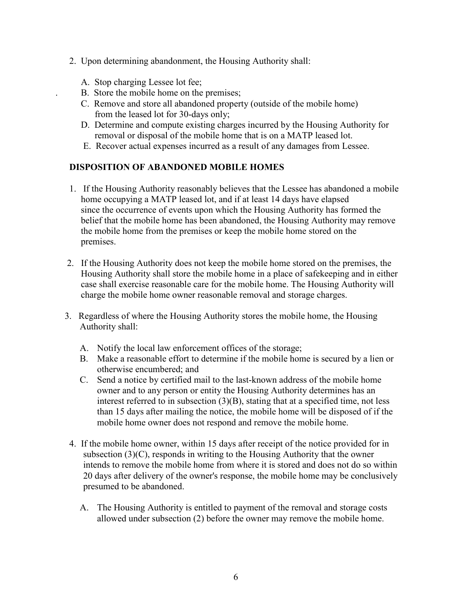- 2. Upon determining abandonment, the Housing Authority shall:
	- A. Stop charging Lessee lot fee;
	- . B. Store the mobile home on the premises;
	- C. Remove and store all abandoned property (outside of the mobile home) from the leased lot for 30-days only;
	- D. Determine and compute existing charges incurred by the Housing Authority for removal or disposal of the mobile home that is on a MATP leased lot.
	- E. Recover actual expenses incurred as a result of any damages from Lessee.

#### **DISPOSITION OF ABANDONED MOBILE HOMES**

- 1. If the Housing Authority reasonably believes that the Lessee has abandoned a mobile home occupying a MATP leased lot, and if at least 14 days have elapsed since the occurrence of events upon which the Housing Authority has formed the belief that the mobile home has been abandoned, the Housing Authority may remove the mobile home from the premises or keep the mobile home stored on the premises.
- 2. If the Housing Authority does not keep the mobile home stored on the premises, the Housing Authority shall store the mobile home in a place of safekeeping and in either case shall exercise reasonable care for the mobile home. The Housing Authority will charge the mobile home owner reasonable removal and storage charges.
- 3. Regardless of where the Housing Authority stores the mobile home, the Housing Authority shall:
	- A. Notify the local law enforcement offices of the storage;
	- B. Make a reasonable effort to determine if the mobile home is secured by a lien or otherwise encumbered; and
	- C. Send a notice by certified mail to the last-known address of the mobile home owner and to any person or entity the Housing Authority determines has an interest referred to in subsection  $(3)(B)$ , stating that at a specified time, not less than 15 days after mailing the notice, the mobile home will be disposed of if the mobile home owner does not respond and remove the mobile home.
	- 4. If the mobile home owner, within 15 days after receipt of the notice provided for in subsection  $(3)(C)$ , responds in writing to the Housing Authority that the owner intends to remove the mobile home from where it is stored and does not do so within 20 days after delivery of the owner's response, the mobile home may be conclusively presumed to be abandoned.
		- A. The Housing Authority is entitled to payment of the removal and storage costs allowed under subsection (2) before the owner may remove the mobile home.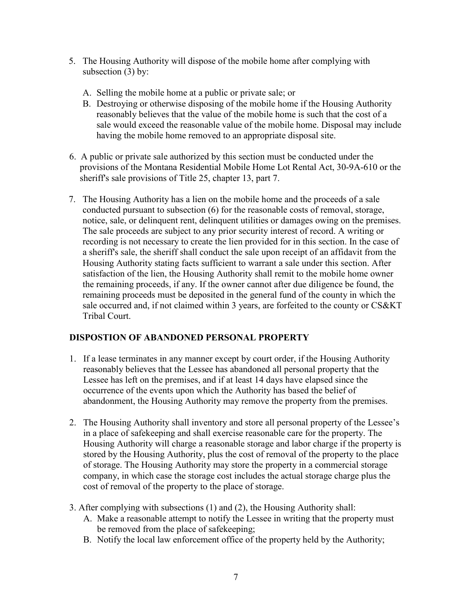- 5. The Housing Authority will dispose of the mobile home after complying with subsection (3) by:
	- A. Selling the mobile home at a public or private sale; or
	- B. Destroying or otherwise disposing of the mobile home if the Housing Authority reasonably believes that the value of the mobile home is such that the cost of a sale would exceed the reasonable value of the mobile home. Disposal may include having the mobile home removed to an appropriate disposal site.
- 6. A public or private sale authorized by this section must be conducted under the provisions of the Montana Residential Mobile Home Lot Rental Act, 30-9A-610 or the sheriff's sale provisions of Title 25, chapter 13, part 7.
- 7. The Housing Authority has a lien on the mobile home and the proceeds of a sale conducted pursuant to subsection (6) for the reasonable costs of removal, storage, notice, sale, or delinquent rent, delinquent utilities or damages owing on the premises. The sale proceeds are subject to any prior security interest of record. A writing or recording is not necessary to create the lien provided for in this section. In the case of a sheriff's sale, the sheriff shall conduct the sale upon receipt of an affidavit from the Housing Authority stating facts sufficient to warrant a sale under this section. After satisfaction of the lien, the Housing Authority shall remit to the mobile home owner the remaining proceeds, if any. If the owner cannot after due diligence be found, the remaining proceeds must be deposited in the general fund of the county in which the sale occurred and, if not claimed within 3 years, are forfeited to the county or CS&KT Tribal Court.

#### **DISPOSTION OF ABANDONED PERSONAL PROPERTY**

- 1. If a lease terminates in any manner except by court order, if the Housing Authority reasonably believes that the Lessee has abandoned all personal property that the Lessee has left on the premises, and if at least 14 days have elapsed since the occurrence of the events upon which the Authority has based the belief of abandonment, the Housing Authority may remove the property from the premises.
- 2. The Housing Authority shall inventory and store all personal property of the Lessee's in a place of safekeeping and shall exercise reasonable care for the property. The Housing Authority will charge a reasonable storage and labor charge if the property is stored by the Housing Authority, plus the cost of removal of the property to the place of storage. The Housing Authority may store the property in a commercial storage company, in which case the storage cost includes the actual storage charge plus the cost of removal of the property to the place of storage.
- 3. After complying with subsections (1) and (2), the Housing Authority shall:
	- A. Make a reasonable attempt to notify the Lessee in writing that the property must be removed from the place of safekeeping;
	- B. Notify the local law enforcement office of the property held by the Authority;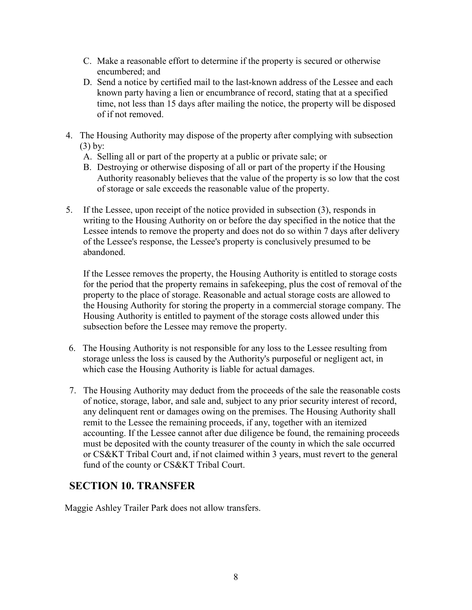- C. Make a reasonable effort to determine if the property is secured or otherwise encumbered; and
- D. Send a notice by certified mail to the last-known address of the Lessee and each known party having a lien or encumbrance of record, stating that at a specified time, not less than 15 days after mailing the notice, the property will be disposed of if not removed.
- 4. The Housing Authority may dispose of the property after complying with subsection  $(3)$  by:
	- A. Selling all or part of the property at a public or private sale; or
	- B. Destroying or otherwise disposing of all or part of the property if the Housing Authority reasonably believes that the value of the property is so low that the cost of storage or sale exceeds the reasonable value of the property.
- 5. If the Lessee, upon receipt of the notice provided in subsection (3), responds in writing to the Housing Authority on or before the day specified in the notice that the Lessee intends to remove the property and does not do so within 7 days after delivery of the Lessee's response, the Lessee's property is conclusively presumed to be abandoned.

If the Lessee removes the property, the Housing Authority is entitled to storage costs for the period that the property remains in safekeeping, plus the cost of removal of the property to the place of storage. Reasonable and actual storage costs are allowed to the Housing Authority for storing the property in a commercial storage company. The Housing Authority is entitled to payment of the storage costs allowed under this subsection before the Lessee may remove the property.

- 6. The Housing Authority is not responsible for any loss to the Lessee resulting from storage unless the loss is caused by the Authority's purposeful or negligent act, in which case the Housing Authority is liable for actual damages.
- 7. The Housing Authority may deduct from the proceeds of the sale the reasonable costs of notice, storage, labor, and sale and, subject to any prior security interest of record, any delinquent rent or damages owing on the premises. The Housing Authority shall remit to the Lessee the remaining proceeds, if any, together with an itemized accounting. If the Lessee cannot after due diligence be found, the remaining proceeds must be deposited with the county treasurer of the county in which the sale occurred or CS&KT Tribal Court and, if not claimed within 3 years, must revert to the general fund of the county or CS&KT Tribal Court.

## <span id="page-7-0"></span>**SECTION 10. TRANSFER**

Maggie Ashley Trailer Park does not allow transfers.